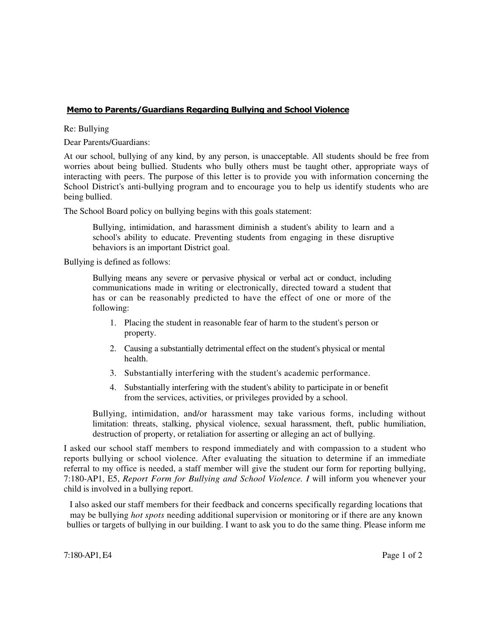## Memo to Parents/Guardians Regarding Bullying and School Violence

Re: Bullying

Dear Parents/Guardians:

At our school, bullying of any kind, by any person, is unacceptable. All students should be free from worries about being bullied. Students who bully others must be taught other, appropriate ways of interacting with peers. The purpose of this letter is to provide you with information concerning the School District's anti-bullying program and to encourage you to help us identify students who are being bullied.

The School Board policy on bullying begins with this goals statement:

Bullying, intimidation, and harassment diminish a student's ability to learn and a school's ability to educate. Preventing students from engaging in these disruptive behaviors is an important District goal.

Bullying is defined as follows:

Bullying means any severe or pervasive physical or verbal act or conduct, including communications made in writing or electronically, directed toward a student that has or can be reasonably predicted to have the effect of one or more of the following:

- 1. Placing the student in reasonable fear of harm to the student's person or property.
- 2. Causing a substantially detrimental effect on the student's physical or mental health.
- 3. Substantially interfering with the student's academic performance.
- 4. Substantially interfering with the student's ability to participate in or benefit from the services, activities, or privileges provided by a school.

Bullying, intimidation, and/or harassment may take various forms, including without limitation: threats, stalking, physical violence, sexual harassment, theft, public humiliation, destruction of property, or retaliation for asserting or alleging an act of bullying.

I asked our school staff members to respond immediately and with compassion to a student who reports bullying or school violence. After evaluating the situation to determine if an immediate referral to my office is needed, a staff member will give the student our form for reporting bullying, 7:180-AP1, E5, *Report Form for Bullying and School Violence. I* will inform you whenever your child is involved in a bullying report.

I also asked our staff members for their feedback and concerns specifically regarding locations that may be bullying *hot spots* needing additional supervision or monitoring or if there are any known bullies or targets of bullying in our building. I want to ask you to do the same thing. Please inform me

 $7:180$ -AP1, E4 Page 1 of 2